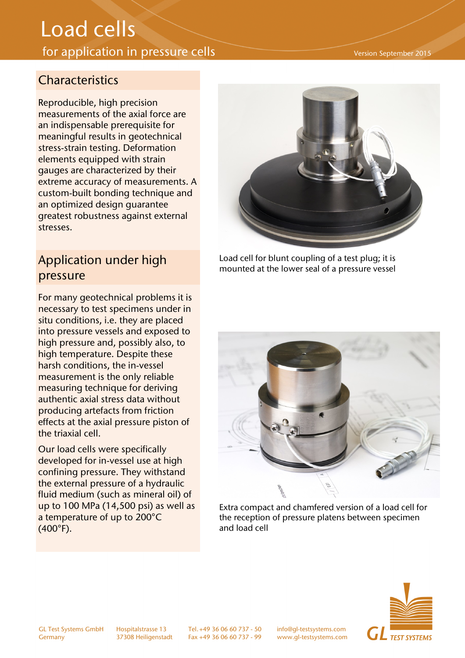## Load cells

## for application in pressure cells

## **Characteristics**

Reproducible, high precision measurements of the axial force are an indispensable prerequisite for meaningful results in geotechnical stress-strain testing. Deformation elements equipped with strain gauges are characterized by their extreme accuracy of measurements. A custom-built bonding technique and an optimized design guarantee greatest robustness against external stresses.

## Application under high pressure

For many geotechnical problems it is necessary to test specimens under in situ conditions, i.e. they are placed into pressure vessels and exposed to high pressure and, possibly also, to high temperature. Despite these harsh conditions, the in-vessel measurement is the only reliable measuring technique for deriving authentic axial stress data without producing artefacts from friction effects at the axial pressure piston of the triaxial cell.

Our load cells were specifically developed for in-vessel use at high confining pressure. They withstand the external pressure of a hydraulic fluid medium (such as mineral oil) of up to 100 MPa (14,500 psi) as well as a temperature of up to 200°C (400°F).



Load cell for blunt coupling of a test plug; it is mounted at the lower seal of a pressure vessel



Extra compact and chamfered version of a load cell for the reception of pressure platens between specimen and load cell



Version September 2015

GL Test Systems GmbH Hospitalstrasse 13 Tel. +49 36 06 60 737 - 50 info@gl-testsystems.com

Germany 37308 Heiligenstadt Fax +49 36 06 60 737 - 99 www.gl-testsystems.com